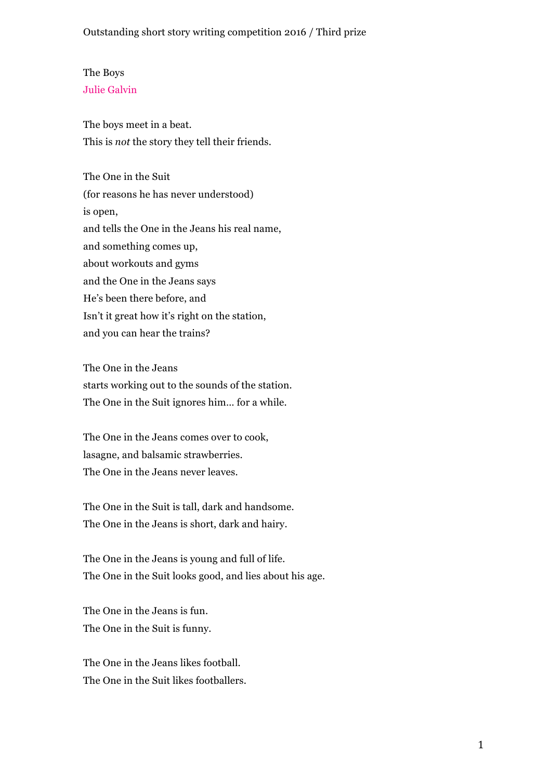## The Boys Julie Galvin

The boys meet in a beat. This is *not* the story they tell their friends.

The One in the Suit (for reasons he has never understood) is open, and tells the One in the Jeans his real name, and something comes up, about workouts and gyms and the One in the Jeans says He's been there before, and Isn't it great how it's right on the station, and you can hear the trains?

The One in the Jeans starts working out to the sounds of the station. The One in the Suit ignores him… for a while.

The One in the Jeans comes over to cook, lasagne, and balsamic strawberries. The One in the Jeans never leaves.

The One in the Suit is tall, dark and handsome. The One in the Jeans is short, dark and hairy.

The One in the Jeans is young and full of life. The One in the Suit looks good, and lies about his age.

The One in the Jeans is fun. The One in the Suit is funny.

The One in the Jeans likes football. The One in the Suit likes footballers.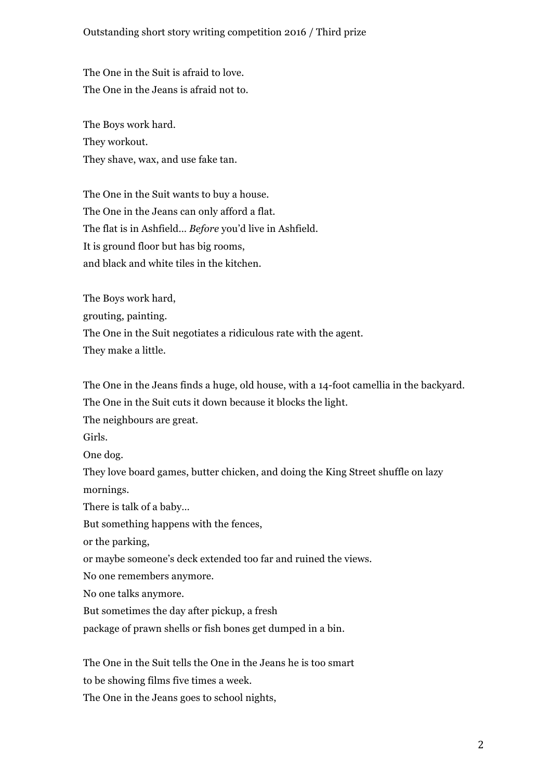## Outstanding short story writing competition 2016 / Third prize

The One in the Suit is afraid to love. The One in the Jeans is afraid not to.

The Boys work hard. They workout. They shave, wax, and use fake tan.

The One in the Suit wants to buy a house. The One in the Jeans can only afford a flat. The flat is in Ashfield… *Before* you'd live in Ashfield. It is ground floor but has big rooms, and black and white tiles in the kitchen.

The Boys work hard, grouting, painting. The One in the Suit negotiates a ridiculous rate with the agent. They make a little.

The One in the Jeans finds a huge, old house, with a 14-foot camellia in the backyard. The One in the Suit cuts it down because it blocks the light.

The neighbours are great.

Girls.

One dog.

They love board games, butter chicken, and doing the King Street shuffle on lazy mornings.

There is talk of a baby…

But something happens with the fences,

or the parking,

or maybe someone's deck extended too far and ruined the views.

No one remembers anymore.

No one talks anymore.

But sometimes the day after pickup, a fresh

package of prawn shells or fish bones get dumped in a bin.

The One in the Suit tells the One in the Jeans he is too smart

to be showing films five times a week.

The One in the Jeans goes to school nights,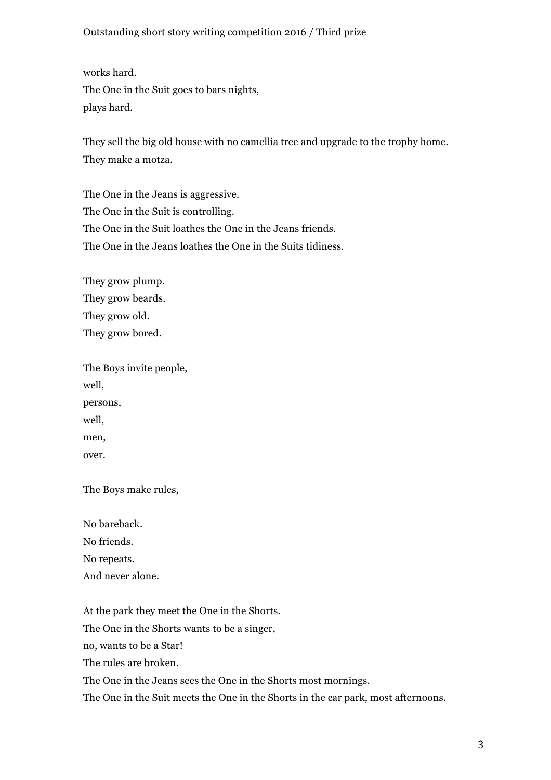## Outstanding short story writing competition 2016 / Third prize

works hard. The One in the Suit goes to bars nights, plays hard.

They sell the big old house with no camellia tree and upgrade to the trophy home. They make a motza.

The One in the Jeans is aggressive. The One in the Suit is controlling. The One in the Suit loathes the One in the Jeans friends. The One in the Jeans loathes the One in the Suits tidiness.

They grow plump. They grow beards. They grow old. They grow bored.

The Boys invite people, well, persons, well, men, over.

The Boys make rules,

No bareback. No friends. No repeats. And never alone.

At the park they meet the One in the Shorts.

The One in the Shorts wants to be a singer,

no, wants to be a Star!

The rules are broken.

The One in the Jeans sees the One in the Shorts most mornings.

The One in the Suit meets the One in the Shorts in the car park, most afternoons.